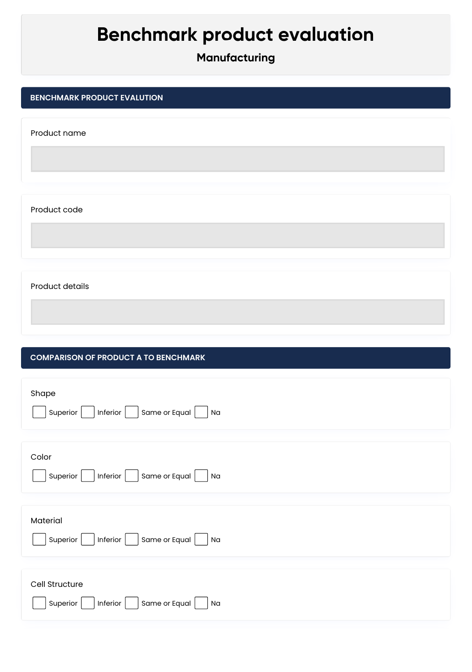# **Benchmark product evaluation**

## **Manufacturing**

#### **BENCHMARK PRODUCT EVALUTION**

Product name

Product code

Product details

#### **COMPARISON OF PRODUCT A TO BENCHMARK**

| Shape<br>Same or Equal<br>Inferior<br>Superior<br>Na                 |
|----------------------------------------------------------------------|
|                                                                      |
| Color<br>$ $ Same or Equal $ $<br>$ $ Inferior $ $<br>Superior<br>Na |
|                                                                      |
| Material<br>Same or Equal<br>Superior<br>  Inferior  <br>Na          |
|                                                                      |
| Cell Structure<br>Same or Equal<br>Superior<br>Inferior<br>Na        |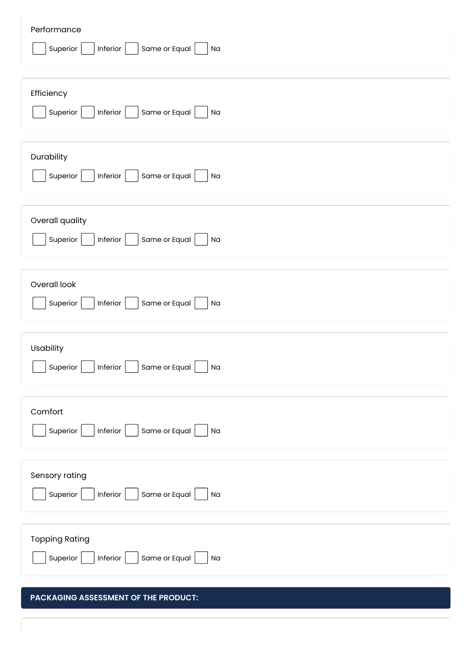| Performance<br>Same or Equal<br>Superior<br>Inferior<br>Na                                                                                       |
|--------------------------------------------------------------------------------------------------------------------------------------------------|
| Efficiency<br>Same or Equal<br>Superior<br>Inferior<br>Na                                                                                        |
| Durability<br>Same or Equal<br>Superior<br>Inferior<br>Na                                                                                        |
| Overall quality<br>Same or Equal<br>Superior<br>Inferior<br>Na                                                                                   |
| Overall look<br>Same or Equal<br>Superior<br>Inferior<br>Na                                                                                      |
| Usability<br>Inferior $\boxed{\phantom{0}}$<br>Same or Equal $\boxed{\phantom{a}}$<br>$\boxed{\phantom{a}}$ Superior $\boxed{\phantom{a}}$<br>Na |
| Comfort<br>Same or Equal<br>Superior<br>Inferior $\vert$<br>Na                                                                                   |
| Sensory rating<br>Same or Equal<br>Superior<br>Inferior $\vert$<br>Na                                                                            |
| <b>Topping Rating</b><br>Same or Equal<br>Superior<br>Inferior<br>Na                                                                             |

### **PACKAGING ASSESSMENT OF THE PRODUCT:**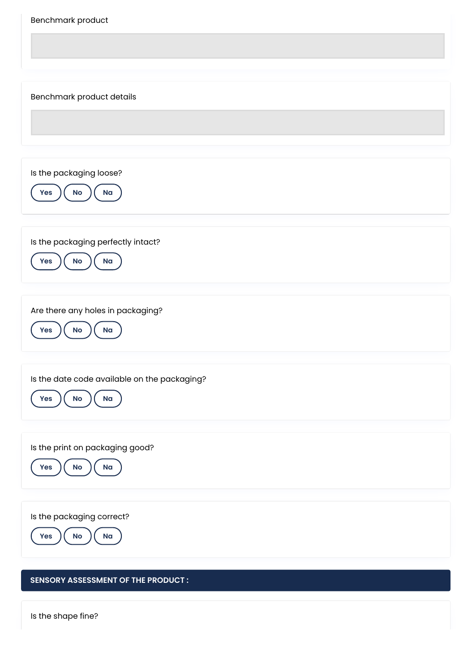| Benchmark product                                                         |
|---------------------------------------------------------------------------|
| Benchmark product details                                                 |
| Is the packaging loose?                                                   |
| Na<br><b>Yes</b><br>No<br>Is the packaging perfectly intact?              |
| $\mathsf{No}$<br>Na<br>Yes<br>Are there any holes in packaging?           |
| No<br>Na<br><b>Yes</b><br>Is the date code available on the packaging?    |
| Yes<br>$\mathsf{No}$<br>Na                                                |
| Is the print on packaging good?<br>Yes<br>$\mathsf{No}$<br>N <sub>a</sub> |
| Is the packaging correct?<br>No<br>Na<br>Yes                              |
| <b>SENSORY ASSESSMENT OF THE PRODUCT:</b>                                 |

Is the shape fine?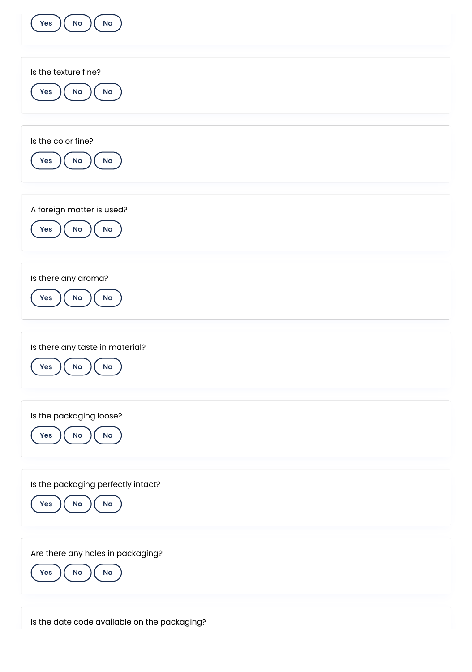